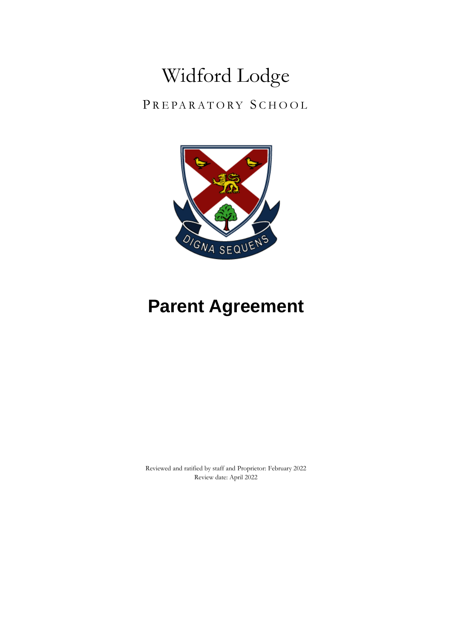# Widford Lodge

PREPARATORY SCHOOL



# **Parent Agreement**

Reviewed and ratified by staff and Proprietor: February 2022 Review date: April 2022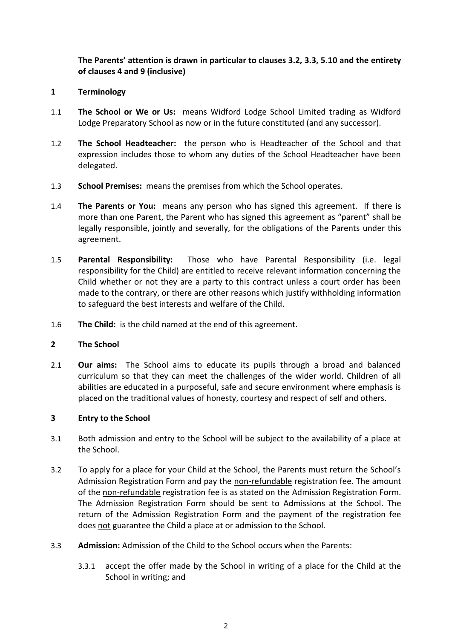# **The Parents' attention is drawn in particular to clauses 3.2, 3.3, 5.10 and the entirety of clauses 4 and 9 (inclusive)**

- **1 Terminology**
- 1.1 **The School or We or Us:** means Widford Lodge School Limited trading as Widford Lodge Preparatory School as now or in the future constituted (and any successor).
- 1.2 **The School Headteacher:** the person who is Headteacher of the School and that expression includes those to whom any duties of the School Headteacher have been delegated.
- 1.3 **School Premises:** means the premises from which the School operates.
- 1.4 **The Parents or You:** means any person who has signed this agreement. If there is more than one Parent, the Parent who has signed this agreement as "parent" shall be legally responsible, jointly and severally, for the obligations of the Parents under this agreement.
- 1.5 **Parental Responsibility:** Those who have Parental Responsibility (i.e. legal responsibility for the Child) are entitled to receive relevant information concerning the Child whether or not they are a party to this contract unless a court order has been made to the contrary, or there are other reasons which justify withholding information to safeguard the best interests and welfare of the Child.
- 1.6 **The Child:** is the child named at the end of this agreement.

## **2 The School**

2.1 **Our aims:** The School aims to educate its pupils through a broad and balanced curriculum so that they can meet the challenges of the wider world. Children of all abilities are educated in a purposeful, safe and secure environment where emphasis is placed on the traditional values of honesty, courtesy and respect of self and others.

## **3 Entry to the School**

- 3.1 Both admission and entry to the School will be subject to the availability of a place at the School.
- 3.2 To apply for a place for your Child at the School, the Parents must return the School's Admission Registration Form and pay the non-refundable registration fee. The amount of the non-refundable registration fee is as stated on the Admission Registration Form. The Admission Registration Form should be sent to Admissions at the School. The return of the Admission Registration Form and the payment of the registration fee does not guarantee the Child a place at or admission to the School.
- 3.3 **Admission:** Admission of the Child to the School occurs when the Parents:
	- 3.3.1 accept the offer made by the School in writing of a place for the Child at the School in writing; and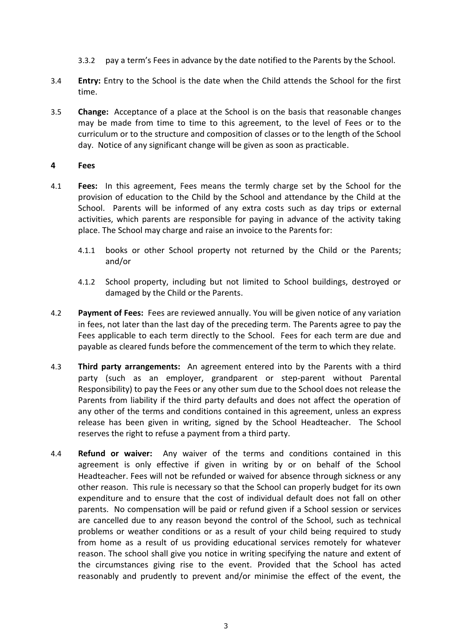- 3.3.2 pay a term's Fees in advance by the date notified to the Parents by the School.
- 3.4 **Entry:** Entry to the School is the date when the Child attends the School for the first time.
- 3.5 **Change:** Acceptance of a place at the School is on the basis that reasonable changes may be made from time to time to this agreement, to the level of Fees or to the curriculum or to the structure and composition of classes or to the length of the School day. Notice of any significant change will be given as soon as practicable.

#### **4 Fees**

- 4.1 **Fees:** In this agreement, Fees means the termly charge set by the School for the provision of education to the Child by the School and attendance by the Child at the School. Parents will be informed of any extra costs such as day trips or external activities, which parents are responsible for paying in advance of the activity taking place. The School may charge and raise an invoice to the Parents for:
	- 4.1.1 books or other School property not returned by the Child or the Parents; and/or
	- 4.1.2 School property, including but not limited to School buildings, destroyed or damaged by the Child or the Parents.
- 4.2 **Payment of Fees:** Fees are reviewed annually. You will be given notice of any variation in fees, not later than the last day of the preceding term. The Parents agree to pay the Fees applicable to each term directly to the School. Fees for each term are due and payable as cleared funds before the commencement of the term to which they relate.
- 4.3 **Third party arrangements:** An agreement entered into by the Parents with a third party (such as an employer, grandparent or step-parent without Parental Responsibility) to pay the Fees or any other sum due to the School does not release the Parents from liability if the third party defaults and does not affect the operation of any other of the terms and conditions contained in this agreement, unless an express release has been given in writing, signed by the School Headteacher. The School reserves the right to refuse a payment from a third party.
- 4.4 **Refund or waiver:** Any waiver of the terms and conditions contained in this agreement is only effective if given in writing by or on behalf of the School Headteacher. Fees will not be refunded or waived for absence through sickness or any other reason. This rule is necessary so that the School can properly budget for its own expenditure and to ensure that the cost of individual default does not fall on other parents. No compensation will be paid or refund given if a School session or services are cancelled due to any reason beyond the control of the School, such as technical problems or weather conditions or as a result of your child being required to study from home as a result of us providing educational services remotely for whatever reason. The school shall give you notice in writing specifying the nature and extent of the circumstances giving rise to the event. Provided that the School has acted reasonably and prudently to prevent and/or minimise the effect of the event, the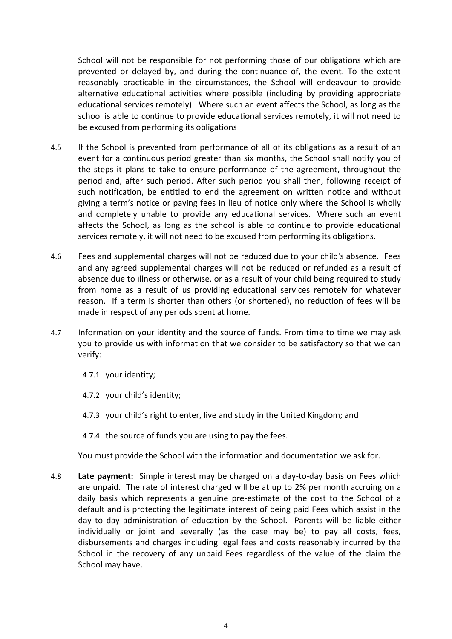School will not be responsible for not performing those of our obligations which are prevented or delayed by, and during the continuance of, the event. To the extent reasonably practicable in the circumstances, the School will endeavour to provide alternative educational activities where possible (including by providing appropriate educational services remotely). Where such an event affects the School, as long as the school is able to continue to provide educational services remotely, it will not need to be excused from performing its obligations

- 4.5 If the School is prevented from performance of all of its obligations as a result of an event for a continuous period greater than six months, the School shall notify you of the steps it plans to take to ensure performance of the agreement, throughout the period and, after such period. After such period you shall then, following receipt of such notification, be entitled to end the agreement on written notice and without giving a term's notice or paying fees in lieu of notice only where the School is wholly and completely unable to provide any educational services. Where such an event affects the School, as long as the school is able to continue to provide educational services remotely, it will not need to be excused from performing its obligations.
- 4.6 Fees and supplemental charges will not be reduced due to your child's absence. Fees and any agreed supplemental charges will not be reduced or refunded as a result of absence due to illness or otherwise, or as a result of your child being required to study from home as a result of us providing educational services remotely for whatever reason. If a term is shorter than others (or shortened), no reduction of fees will be made in respect of any periods spent at home.
- 4.7 Information on your identity and the source of funds. From time to time we may ask you to provide us with information that we consider to be satisfactory so that we can verify:
	- 4.7.1 your identity;
	- 4.7.2 your child's identity;
	- 4.7.3 your child's right to enter, live and study in the United Kingdom; and
	- 4.7.4 the source of funds you are using to pay the fees.

You must provide the School with the information and documentation we ask for.

4.8 **Late payment:** Simple interest may be charged on a day-to-day basis on Fees which are unpaid. The rate of interest charged will be at up to 2% per month accruing on a daily basis which represents a genuine pre-estimate of the cost to the School of a default and is protecting the legitimate interest of being paid Fees which assist in the day to day administration of education by the School. Parents will be liable either individually or joint and severally (as the case may be) to pay all costs, fees, disbursements and charges including legal fees and costs reasonably incurred by the School in the recovery of any unpaid Fees regardless of the value of the claim the School may have.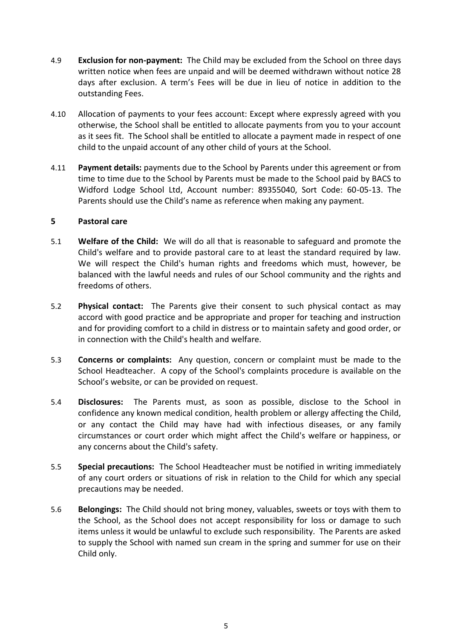- 4.9 **Exclusion for non-payment:** The Child may be excluded from the School on three days written notice when fees are unpaid and will be deemed withdrawn without notice 28 days after exclusion. A term's Fees will be due in lieu of notice in addition to the outstanding Fees.
- 4.10 Allocation of payments to your fees account: Except where expressly agreed with you otherwise, the School shall be entitled to allocate payments from you to your account as it sees fit. The School shall be entitled to allocate a payment made in respect of one child to the unpaid account of any other child of yours at the School.
- 4.11 **Payment details:** payments due to the School by Parents under this agreement or from time to time due to the School by Parents must be made to the School paid by BACS to Widford Lodge School Ltd, Account number: 89355040, Sort Code: 60-05-13. The Parents should use the Child's name as reference when making any payment.

#### **5 Pastoral care**

- 5.1 **Welfare of the Child:** We will do all that is reasonable to safeguard and promote the Child's welfare and to provide pastoral care to at least the standard required by law. We will respect the Child's human rights and freedoms which must, however, be balanced with the lawful needs and rules of our School community and the rights and freedoms of others.
- 5.2 **Physical contact:** The Parents give their consent to such physical contact as may accord with good practice and be appropriate and proper for teaching and instruction and for providing comfort to a child in distress or to maintain safety and good order, or in connection with the Child's health and welfare.
- 5.3 **Concerns or complaints:** Any question, concern or complaint must be made to the School Headteacher. A copy of the School's complaints procedure is available on the School's website, or can be provided on request.
- 5.4 **Disclosures:** The Parents must, as soon as possible, disclose to the School in confidence any known medical condition, health problem or allergy affecting the Child, or any contact the Child may have had with infectious diseases, or any family circumstances or court order which might affect the Child's welfare or happiness, or any concerns about the Child's safety.
- 5.5 **Special precautions:** The School Headteacher must be notified in writing immediately of any court orders or situations of risk in relation to the Child for which any special precautions may be needed.
- 5.6 **Belongings:** The Child should not bring money, valuables, sweets or toys with them to the School, as the School does not accept responsibility for loss or damage to such items unless it would be unlawful to exclude such responsibility. The Parents are asked to supply the School with named sun cream in the spring and summer for use on their Child only.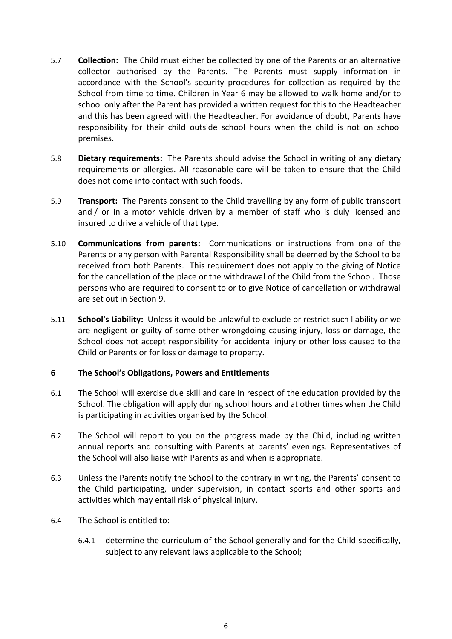- 5.7 **Collection:** The Child must either be collected by one of the Parents or an alternative collector authorised by the Parents. The Parents must supply information in accordance with the School's security procedures for collection as required by the School from time to time. Children in Year 6 may be allowed to walk home and/or to school only after the Parent has provided a written request for this to the Headteacher and this has been agreed with the Headteacher. For avoidance of doubt, Parents have responsibility for their child outside school hours when the child is not on school premises.
- 5.8 **Dietary requirements:** The Parents should advise the School in writing of any dietary requirements or allergies. All reasonable care will be taken to ensure that the Child does not come into contact with such foods.
- 5.9 **Transport:** The Parents consent to the Child travelling by any form of public transport and / or in a motor vehicle driven by a member of staff who is duly licensed and insured to drive a vehicle of that type.
- 5.10 **Communications from parents:** Communications or instructions from one of the Parents or any person with Parental Responsibility shall be deemed by the School to be received from both Parents. This requirement does not apply to the giving of Notice for the cancellation of the place or the withdrawal of the Child from the School. Those persons who are required to consent to or to give Notice of cancellation or withdrawal are set out in Section [9.](#page-8-0)
- 5.11 **School's Liability:** Unless it would be unlawful to exclude or restrict such liability or we are negligent or guilty of some other wrongdoing causing injury, loss or damage, the School does not accept responsibility for accidental injury or other loss caused to the Child or Parents or for loss or damage to property.

#### **6 The School's Obligations, Powers and Entitlements**

- 6.1 The School will exercise due skill and care in respect of the education provided by the School. The obligation will apply during school hours and at other times when the Child is participating in activities organised by the School.
- 6.2 The School will report to you on the progress made by the Child, including written annual reports and consulting with Parents at parents' evenings. Representatives of the School will also liaise with Parents as and when is appropriate.
- 6.3 Unless the Parents notify the School to the contrary in writing, the Parents' consent to the Child participating, under supervision, in contact sports and other sports and activities which may entail risk of physical injury.
- 6.4 The School is entitled to:
	- 6.4.1 determine the curriculum of the School generally and for the Child specifically, subject to any relevant laws applicable to the School;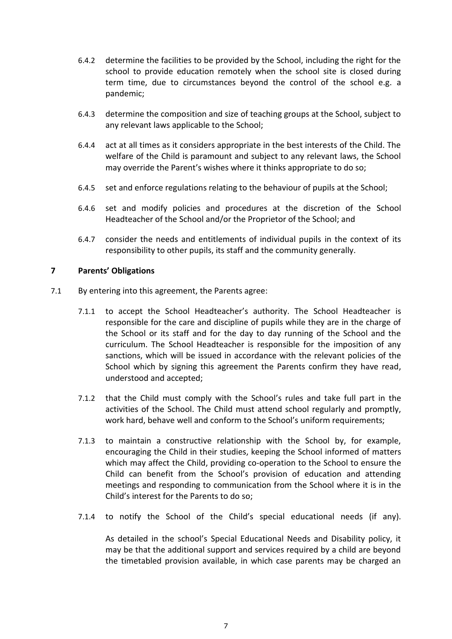- 6.4.2 determine the facilities to be provided by the School, including the right for the school to provide education remotely when the school site is closed during term time, due to circumstances beyond the control of the school e.g. a pandemic;
- 6.4.3 determine the composition and size of teaching groups at the School, subject to any relevant laws applicable to the School;
- 6.4.4 act at all times as it considers appropriate in the best interests of the Child. The welfare of the Child is paramount and subject to any relevant laws, the School may override the Parent's wishes where it thinks appropriate to do so;
- 6.4.5 set and enforce regulations relating to the behaviour of pupils at the School;
- 6.4.6 set and modify policies and procedures at the discretion of the School Headteacher of the School and/or the Proprietor of the School; and
- 6.4.7 consider the needs and entitlements of individual pupils in the context of its responsibility to other pupils, its staff and the community generally.

#### **7 Parents' Obligations**

- 7.1 By entering into this agreement, the Parents agree:
	- 7.1.1 to accept the School Headteacher's authority. The School Headteacher is responsible for the care and discipline of pupils while they are in the charge of the School or its staff and for the day to day running of the School and the curriculum. The School Headteacher is responsible for the imposition of any sanctions, which will be issued in accordance with the relevant policies of the School which by signing this agreement the Parents confirm they have read, understood and accepted;
	- 7.1.2 that the Child must comply with the School's rules and take full part in the activities of the School. The Child must attend school regularly and promptly, work hard, behave well and conform to the School's uniform requirements;
	- 7.1.3 to maintain a constructive relationship with the School by, for example, encouraging the Child in their studies, keeping the School informed of matters which may affect the Child, providing co-operation to the School to ensure the Child can benefit from the School's provision of education and attending meetings and responding to communication from the School where it is in the Child's interest for the Parents to do so;
	- 7.1.4 to notify the School of the Child's special educational needs (if any).

As detailed in the school's Special Educational Needs and Disability policy, it may be that the additional support and services required by a child are beyond the timetabled provision available, in which case parents may be charged an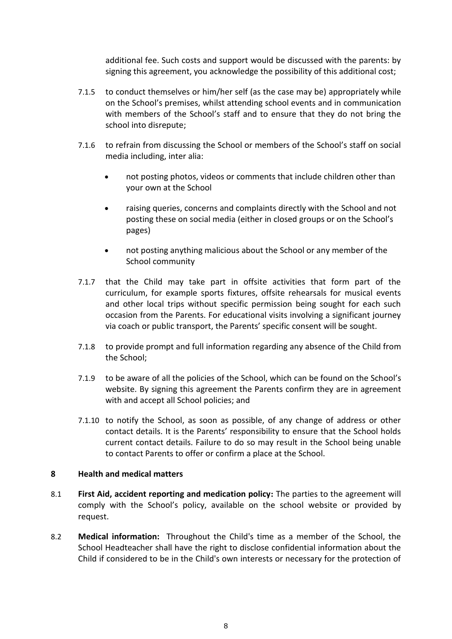additional fee. Such costs and support would be discussed with the parents: by signing this agreement, you acknowledge the possibility of this additional cost;

- 7.1.5 to conduct themselves or him/her self (as the case may be) appropriately while on the School's premises, whilst attending school events and in communication with members of the School's staff and to ensure that they do not bring the school into disrepute;
- 7.1.6 to refrain from discussing the School or members of the School's staff on social media including, inter alia:
	- not posting photos, videos or comments that include children other than your own at the School
	- raising queries, concerns and complaints directly with the School and not posting these on social media (either in closed groups or on the School's pages)
	- not posting anything malicious about the School or any member of the School community
- 7.1.7 that the Child may take part in offsite activities that form part of the curriculum, for example sports fixtures, offsite rehearsals for musical events and other local trips without specific permission being sought for each such occasion from the Parents. For educational visits involving a significant journey via coach or public transport, the Parents' specific consent will be sought.
- 7.1.8 to provide prompt and full information regarding any absence of the Child from the School;
- 7.1.9 to be aware of all the policies of the School, which can be found on the School's website. By signing this agreement the Parents confirm they are in agreement with and accept all School policies; and
- 7.1.10 to notify the School, as soon as possible, of any change of address or other contact details. It is the Parents' responsibility to ensure that the School holds current contact details. Failure to do so may result in the School being unable to contact Parents to offer or confirm a place at the School.

#### **8 Health and medical matters**

- 8.1 **First Aid, accident reporting and medication policy:** The parties to the agreement will comply with the School's policy, available on the school website or provided by request.
- 8.2 **Medical information:** Throughout the Child's time as a member of the School, the School Headteacher shall have the right to disclose confidential information about the Child if considered to be in the Child's own interests or necessary for the protection of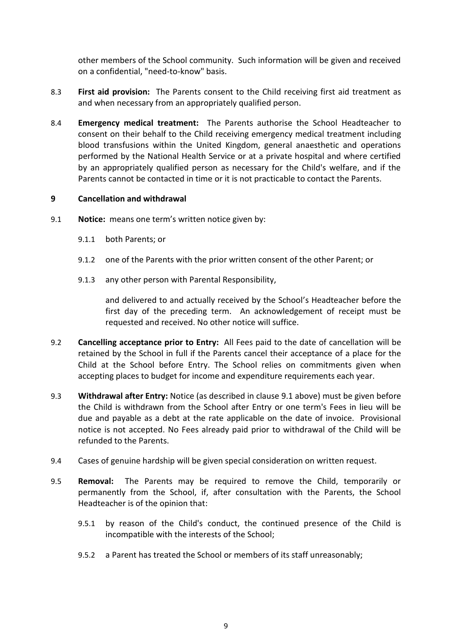other members of the School community. Such information will be given and received on a confidential, "need-to-know" basis.

- 8.3 **First aid provision:** The Parents consent to the Child receiving first aid treatment as and when necessary from an appropriately qualified person.
- 8.4 **Emergency medical treatment:** The Parents authorise the School Headteacher to consent on their behalf to the Child receiving emergency medical treatment including blood transfusions within the United Kingdom, general anaesthetic and operations performed by the National Health Service or at a private hospital and where certified by an appropriately qualified person as necessary for the Child's welfare, and if the Parents cannot be contacted in time or it is not practicable to contact the Parents.

#### <span id="page-8-0"></span>**9 Cancellation and withdrawal**

- 9.1 **Notice:** means one term's written notice given by:
	- 9.1.1 both Parents; or
	- 9.1.2 one of the Parents with the prior written consent of the other Parent; or
	- 9.1.3 any other person with Parental Responsibility,

and delivered to and actually received by the School's Headteacher before the first day of the preceding term. An acknowledgement of receipt must be requested and received. No other notice will suffice.

- 9.2 **Cancelling acceptance prior to Entry:** All Fees paid to the date of cancellation will be retained by the School in full if the Parents cancel their acceptance of a place for the Child at the School before Entry. The School relies on commitments given when accepting places to budget for income and expenditure requirements each year.
- 9.3 **Withdrawal after Entry:** Notice (as described in clause 9.1 above) must be given before the Child is withdrawn from the School after Entry or one term's Fees in lieu will be due and payable as a debt at the rate applicable on the date of invoice. Provisional notice is not accepted. No Fees already paid prior to withdrawal of the Child will be refunded to the Parents.
- 9.4 Cases of genuine hardship will be given special consideration on written request.
- 9.5 **Removal:** The Parents may be required to remove the Child, temporarily or permanently from the School, if, after consultation with the Parents, the School Headteacher is of the opinion that:
	- 9.5.1 by reason of the Child's conduct, the continued presence of the Child is incompatible with the interests of the School;
	- 9.5.2 a Parent has treated the School or members of its staff unreasonably;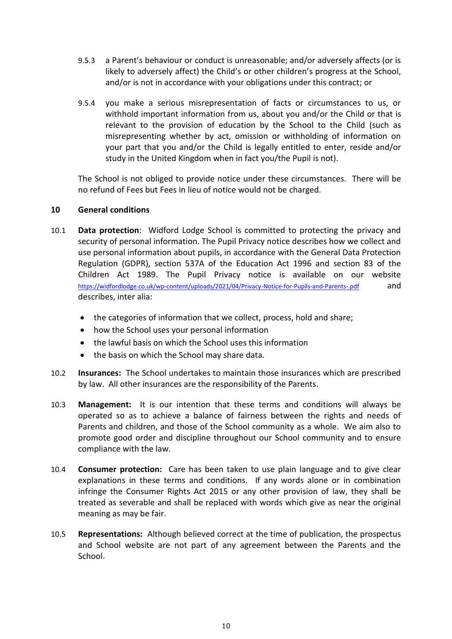- 9.5.3 a Parent's behaviour or conduct is unreasonable; and/or adversely affects (or is likely to adversely affect) the Child's or other children's progress at the School, and/or is not in accordance with your obligations under this contract; or
- 9.5.4 you make a serious misrepresentation of facts or circumstances to us, or withhold important information from us, about you and/or the Child or that is relevant to the provision of education by the School to the Child (such as misrepresenting whether by act, omission or withholding of information on your part that you and/or the Child is legally entitled to enter, reside and/or study in the United Kingdom when in fact you/the Pupil is not).

The School is not obliged to provide notice under these circumstances. There will be no refund of Fees but Fees in lieu of notice would not be charged.

#### **10 General conditions**

- 10.1 **Data protection**: Widford Lodge School is committed to protecting the privacy and security of personal information. The Pupil Privacy notice describes how we collect and use personal information about pupils, in accordance with the General Data Protection Regulation (GDPR), section 537A of the Education Act 1996 and section 83 of the Children Act 1989. The Pupil Privacy notice is available on our website <https://widfordlodge.co.uk/wp-content/uploads/2021/04/Privacy-Notice-for-Pupils-and-Parents-.pdf> and describes, inter alia:
	- the categories of information that we collect, process, hold and share;
	- how the School uses your personal information
	- the lawful basis on which the School uses this information
	- the basis on which the School may share data.
- 10.2 **Insurances:** The School undertakes to maintain those insurances which are prescribed by law. All other insurances are the responsibility of the Parents.
- 10.3 **Management:** It is our intention that these terms and conditions will always be operated so as to achieve a balance of fairness between the rights and needs of Parents and children, and those of the School community as a whole. We aim also to promote good order and discipline throughout our School community and to ensure compliance with the law.
- 10.4 **Consumer protection:** Care has been taken to use plain language and to give clear explanations in these terms and conditions. If any words alone or in combination infringe the Consumer Rights Act 2015 or any other provision of law, they shall be treated as severable and shall be replaced with words which give as near the original meaning as may be fair.
- 10.5 **Representations:** Although believed correct at the time of publication, the prospectus and School website are not part of any agreement between the Parents and the School.